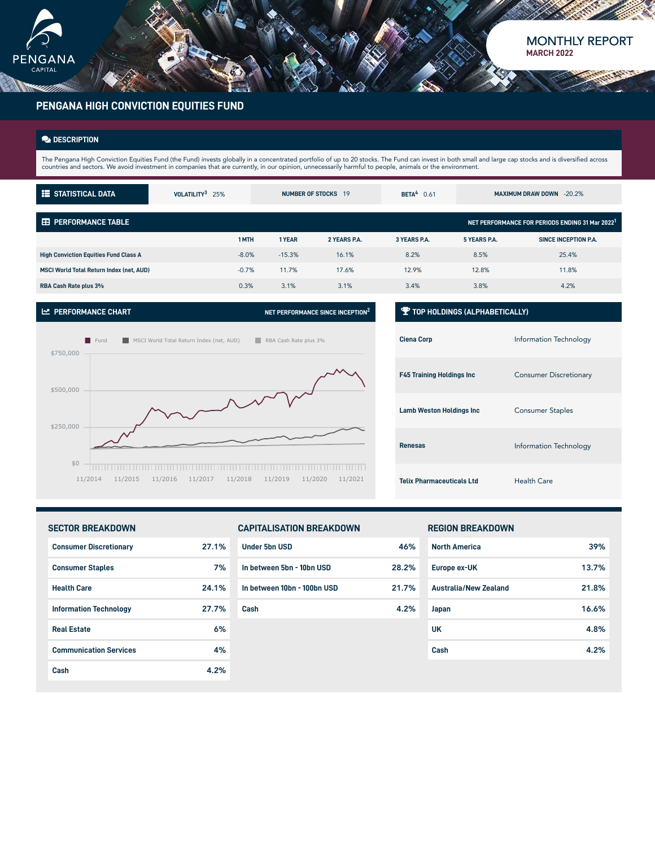

# MONTHLY REPORT **MARCH 2022**

# **PENGANA HIGH CONVICTION EQUITIES FUND**

## **DESCRIPTION**

The Pengana High Conviction Equities Fund (the Fund) invests globally in a concentrated portfolio of up to 20 stocks. The Fund can invest in both small and large cap stocks and is diversified across<br>countries and sectors.

| <b>E</b> STATISTICAL DATA                       | VOLATILITY <sup>3</sup> 25% |          | NUMBER OF STOCKS 19 | BETA <sup>4</sup> $0.61$ |                     | <b>MAXIMUM DRAW DOWN -20.2%</b>                             |
|-------------------------------------------------|-----------------------------|----------|---------------------|--------------------------|---------------------|-------------------------------------------------------------|
| <b>ED PERFORMANCE TABLE</b>                     |                             |          |                     |                          |                     | NET PERFORMANCE FOR PERIODS ENDING 31 Mar 2022 <sup>1</sup> |
|                                                 | 1 MTH                       | 1 YEAR   | 2 YEARS P.A.        | 3 YEARS P.A.             | <b>5 YEARS P.A.</b> | SINCE INCEPTION P.A.                                        |
| <b>High Conviction Equities Fund Class A</b>    | $-8.0%$                     | $-15.3%$ | 16.1%               | 8.2%                     | 8.5%                | 25.4%                                                       |
| <b>MSCI World Total Return Index (net. AUD)</b> | $-0.7%$                     | 11.7%    | 17.6%               | 12.9%                    | 12.8%               | 11.8%                                                       |
| RBA Cash Rate plus 3%                           | 0.3%                        | 3.1%     | 3.1%                | 3.4%                     | 3.8%                | 4.2%                                                        |
|                                                 |                             |          |                     |                          |                     |                                                             |

### **PERFORMANCE CHART NET PERFORMANCE SINCE INCEPTION<sup>2</sup>**



## **TOP HOLDINGS (ALPHABETICALLY)**

| <b>Ciena Corp</b>                | Information Technology        |
|----------------------------------|-------------------------------|
| <b>F45 Training Holdings Inc</b> | <b>Consumer Discretionary</b> |
| <b>Lamb Weston Holdings Inc</b>  | <b>Consumer Staples</b>       |
| <b>Renesas</b>                   | Information Technology        |
| <b>Telix Pharmaceuticals Ltd</b> | <b>Health Care</b>            |

## **SECTOR BREAKDOWN**

| <b>Consumer Discretionary</b> | 27.1% |
|-------------------------------|-------|
| <b>Consumer Staples</b>       | 7%    |
| <b>Health Care</b>            | 24.1% |
| <b>Information Technology</b> | 27.7% |
| <b>Real Estate</b>            | 6%    |
| <b>Communication Services</b> | 4%    |
| Cash                          | A 2%  |

## **CAPITALISATION BREAKDOWN**

| <b>Under 5bn USD</b>        | 46%   |
|-----------------------------|-------|
| In between 5bn - 10bn USD   | 28.2% |
| In between 10bn - 100bn USD | 21.7% |
| Cash                        | 4.2%  |
|                             |       |
|                             |       |

# **REGION BREAKDOWN**

| <b>North America</b>         | 39%   |
|------------------------------|-------|
| Europe ex-UK                 | 13.7% |
| <b>Australia/New Zealand</b> | 21.8% |
| Japan                        | 16.6% |
| UK                           | 4.8%  |
| Cash                         | 4.2%  |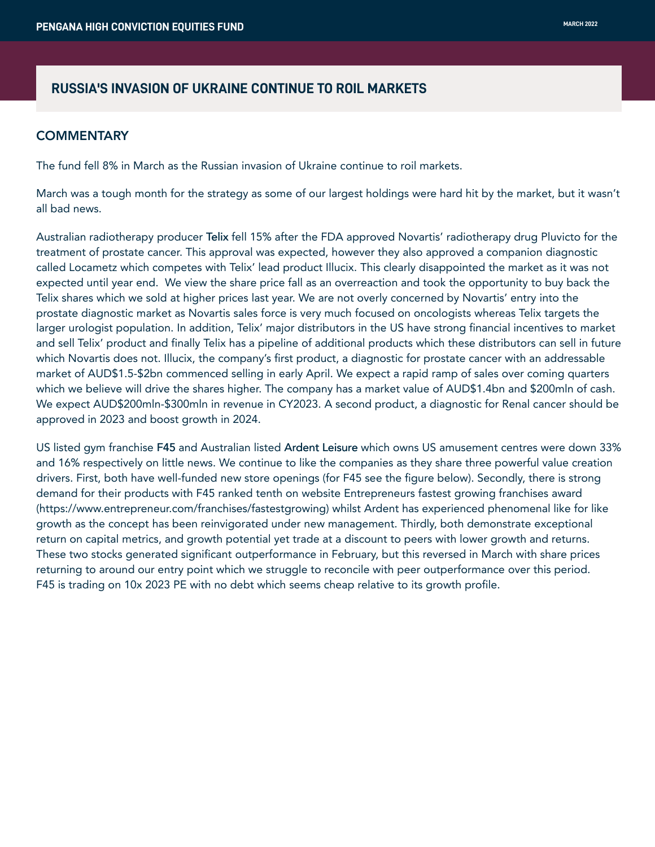# **RUSSIA'S INVASION OF UKRAINE CONTINUE TO ROIL MARKETS**

# **COMMENTARY**

The fund fell 8% in March as the Russian invasion of Ukraine continue to roil markets.

March was a tough month for the strategy as some of our largest holdings were hard hit by the market, but it wasn't all bad news.

Australian radiotherapy producer Telix fell 15% after the FDA approved Novartis' radiotherapy drug Pluvicto for the treatment of prostate cancer. This approval was expected, however they also approved a companion diagnostic called Locametz which competes with Telix' lead product Illucix. This clearly disappointed the market as it was not expected until year end. We view the share price fall as an overreaction and took the opportunity to buy back the Telix shares which we sold at higher prices last year. We are not overly concerned by Novartis' entry into the prostate diagnostic market as Novartis sales force is very much focused on oncologists whereas Telix targets the larger urologist population. In addition, Telix' major distributors in the US have strong financial incentives to market and sell Telix' product and finally Telix has a pipeline of additional products which these distributors can sell in future which Novartis does not. Illucix, the company's first product, a diagnostic for prostate cancer with an addressable market of AUD\$1.5-\$2bn commenced selling in early April. We expect a rapid ramp of sales over coming quarters which we believe will drive the shares higher. The company has a market value of AUD\$1.4bn and \$200mln of cash. We expect AUD\$200mln-\$300mln in revenue in CY2023. A second product, a diagnostic for Renal cancer should be approved in 2023 and boost growth in 2024.

US listed gym franchise F45 and Australian listed Ardent Leisure which owns US amusement centres were down 33% and 16% respectively on little news. We continue to like the companies as they share three powerful value creation drivers. First, both have well-funded new store openings (for F45 see the figure below). Secondly, there is strong demand for their products with F45 ranked tenth on website Entrepreneurs fastest growing franchises award (https://www.entrepreneur.com/franchises/fastestgrowing) whilst Ardent has experienced phenomenal like for like growth as the concept has been reinvigorated under new management. Thirdly, both demonstrate exceptional return on capital metrics, and growth potential yet trade at a discount to peers with lower growth and returns. These two stocks generated significant outperformance in February, but this reversed in March with share prices returning to around our entry point which we struggle to reconcile with peer outperformance over this period. F45 is trading on 10x 2023 PE with no debt which seems cheap relative to its growth profile.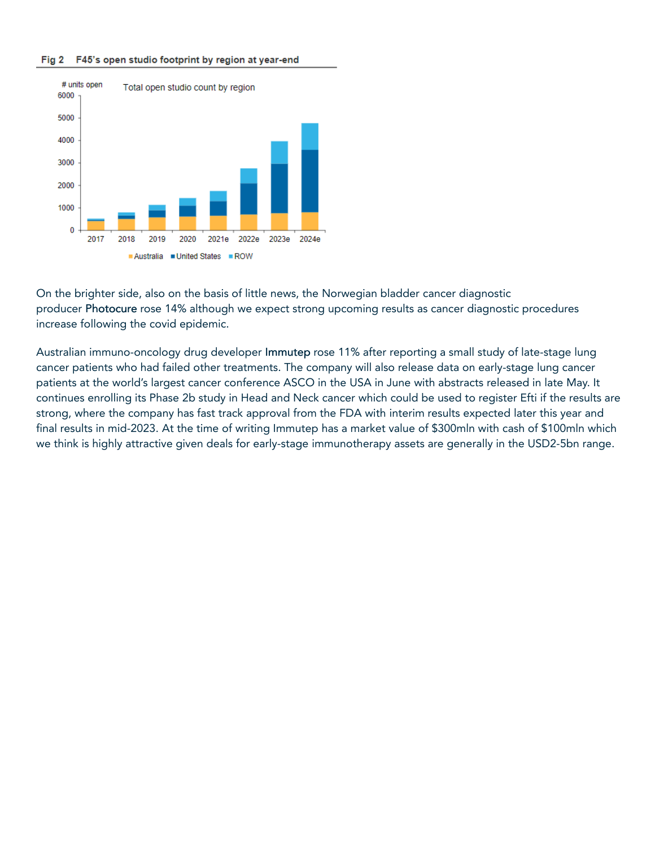#### Fig 2 F45's open studio footprint by region at year-end



On the brighter side, also on the basis of little news, the Norwegian bladder cancer diagnostic producer Photocure rose 14% although we expect strong upcoming results as cancer diagnostic procedures increase following the covid epidemic.

Australian immuno-oncology drug developer Immutep rose 11% after reporting a small study of late-stage lung cancer patients who had failed other treatments. The company will also release data on early-stage lung cancer patients at the world's largest cancer conference ASCO in the USA in June with abstracts released in late May. It continues enrolling its Phase 2b study in Head and Neck cancer which could be used to register Efti if the results are strong, where the company has fast track approval from the FDA with interim results expected later this year and final results in mid-2023. At the time of writing Immutep has a market value of \$300mln with cash of \$100mln which we think is highly attractive given deals for early-stage immunotherapy assets are generally in the USD2-5bn range.